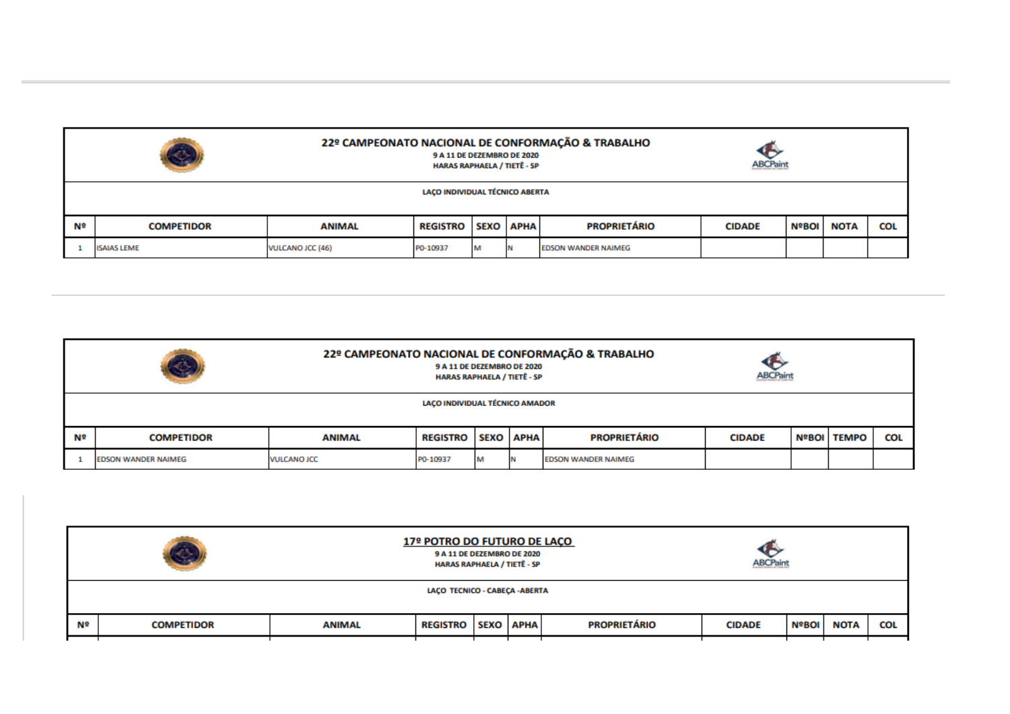| 22º CAMPEONATO NACIONAL DE CONFORMAÇÃO & TRABALHO<br>S<br>G<br>9 A 11 DE DEZEMBRO DE 2020<br><b>ABCPaint</b><br><b>HARAS RAPHAELA / TIETÊ - SP</b> |                                |                  |                 |  |                  |                            |               |              |             |            |
|----------------------------------------------------------------------------------------------------------------------------------------------------|--------------------------------|------------------|-----------------|--|------------------|----------------------------|---------------|--------------|-------------|------------|
|                                                                                                                                                    | LACO INDIVIDUAL TÉCNICO ABERTA |                  |                 |  |                  |                            |               |              |             |            |
| Nº                                                                                                                                                 | <b>COMPETIDOR</b>              | <b>ANIMAL</b>    | <b>REGISTRO</b> |  | <b>SEXO</b> APHA | <b>PROPRIETÁRIO</b>        | <b>CIDADE</b> | <b>NºBOI</b> | <b>NOTA</b> | <b>COL</b> |
|                                                                                                                                                    | <b>ISAIAS LEME</b>             | VULCANO JCC (46) | P0-10937        |  |                  | <b>EDSON WANDER NAIMEG</b> |               |              |             |            |

| 22º CAMPEONATO NACIONAL DE CONFORMAÇÃO & TRABALHO<br>S<br>œ<br>9 A 11 DE DEZEMBRO DE 2020<br><b>ABCPaint</b><br><b>HARAS RAPHAELA / TIETË - SP</b> |                                                                                                                                                         |                    |          |   |  |                            |  |  |  |  |
|----------------------------------------------------------------------------------------------------------------------------------------------------|---------------------------------------------------------------------------------------------------------------------------------------------------------|--------------------|----------|---|--|----------------------------|--|--|--|--|
|                                                                                                                                                    | LAÇO INDIVIDUAL TÉCNICO AMADOR                                                                                                                          |                    |          |   |  |                            |  |  |  |  |
| N۹                                                                                                                                                 | <b>PROPRIETÁRIO</b><br><b>COL</b><br><b>REGISTRO</b><br><b>SEXO APHA</b><br><b>NºBOI   TEMPO</b><br><b>COMPETIDOR</b><br><b>ANIMAL</b><br><b>CIDADE</b> |                    |          |   |  |                            |  |  |  |  |
|                                                                                                                                                    | <b>EDSON WANDER NAIMEG</b>                                                                                                                              | <b>VULCANO JCC</b> | P0-10937 | M |  | <b>EDSON WANDER NAIMEG</b> |  |  |  |  |

|                                | 17º POTRO DO FUTURO DE LAÇO<br>S<br>9 A 11 DE DEZEMBRO DE 2020<br><b>HARAS RAPHAELA / TIETË - SP</b>     |  |  |  |  |  | <b>ABCPaint</b> |              |             |            |
|--------------------------------|----------------------------------------------------------------------------------------------------------|--|--|--|--|--|-----------------|--------------|-------------|------------|
| LAÇO TECNICO - CABEÇA - ABERTA |                                                                                                          |  |  |  |  |  |                 |              |             |            |
|                                | <b>PROPRIETÁRIO</b><br>Nº<br><b>SEXO APHA</b><br><b>COMPETIDOR</b><br><b>REGISTRO</b> 1<br><b>ANIMAL</b> |  |  |  |  |  |                 | <b>NºBOI</b> | <b>NOTA</b> | <b>COL</b> |
|                                |                                                                                                          |  |  |  |  |  |                 |              |             |            |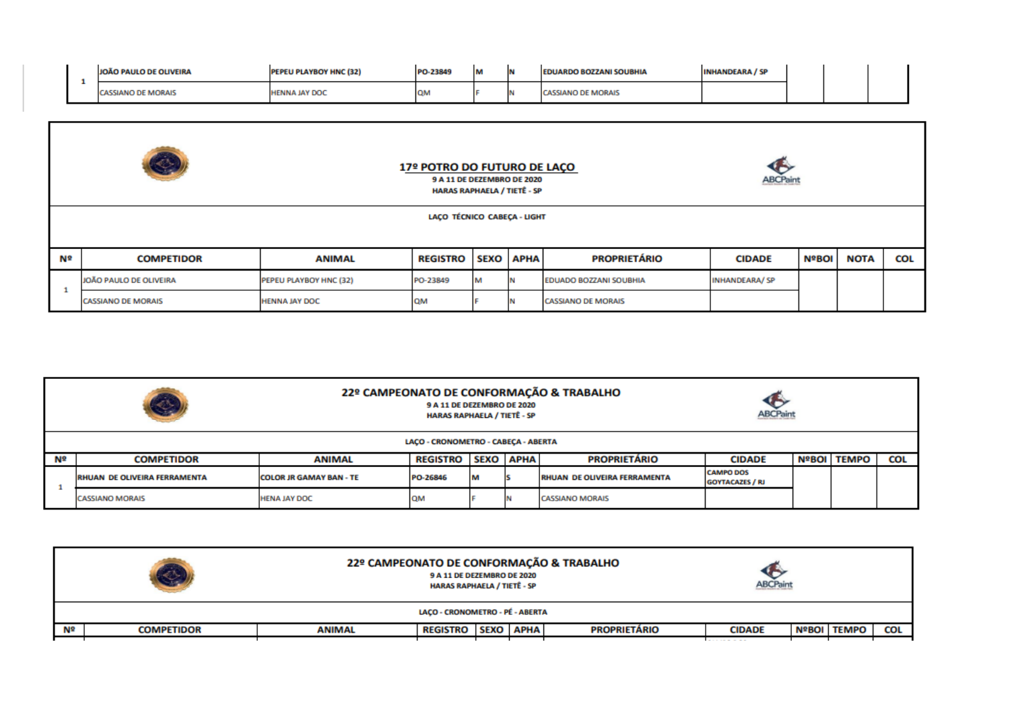| <b>PAULO DE OLIVEIRA</b> | <b>EU PLAYBOY HNC (32)</b> | PO-23849  | <b>BA</b> | <b>RDO BOZZANI SOUBHIA</b><br><b>EDUA</b> | <b>YEARA / SP</b> |  |  |
|--------------------------|----------------------------|-----------|-----------|-------------------------------------------|-------------------|--|--|
| SSIANO DE MORAIS         | <b>IAV DO</b>              | <b>ON</b> |           | <b>DE MORAIS</b>                          |                   |  |  |

|                             | Q)                                                                                          |                               | 17º POTRO DO FUTURO DE LAÇO<br>9 A 11 DE DEZEMBRO DE 2020<br><b>HARAS RAPHAELA / TIETË - SP</b> |                  |  |                     | <b>ABCPain</b> |              |             |            |
|-----------------------------|---------------------------------------------------------------------------------------------|-------------------------------|-------------------------------------------------------------------------------------------------|------------------|--|---------------------|----------------|--------------|-------------|------------|
| LAÇO TÉCNICO CABEÇA - LIGHT |                                                                                             |                               |                                                                                                 |                  |  |                     |                |              |             |            |
| Nº                          | <b>COMPETIDOR</b>                                                                           | <b>ANIMAL</b>                 | <b>REGISTRO</b>                                                                                 | <b>SEXO</b> APHA |  | <b>PROPRIETÁRIO</b> | <b>CIDADE</b>  | <b>NºBOI</b> | <b>NOTA</b> | <b>COL</b> |
|                             | JOÃO PAULO DE OLIVEIRA<br>PEPEU PLAYBOY HNC (32)                                            | <b>EDUADO BOZZANI SOUBHIA</b> | <b>INHANDEARA/SP</b>                                                                            |                  |  |                     |                |              |             |            |
|                             | <b>OM</b><br><b>CASSIANO DE MORAIS</b><br><b>HENNA JAY DOC</b><br><b>CASSIANO DE MORAIS</b> |                               |                                                                                                 |                  |  |                     |                |              |             |            |

|    | 22º CAMPEONATO DE CONFORMAÇÃO & TRABALHO<br>٤.<br>9 A 11 DE DEZEMBRO DE 2020<br><b>ABCPaint</b><br><b>HARAS RAPHAELA / TIETË - SP</b>                                       |               |                 |             |             |                     |               |  |                      |            |  |  |  |
|----|-----------------------------------------------------------------------------------------------------------------------------------------------------------------------------|---------------|-----------------|-------------|-------------|---------------------|---------------|--|----------------------|------------|--|--|--|
|    | LACO - CRONOMETRO - CABECA - ABERTA                                                                                                                                         |               |                 |             |             |                     |               |  |                      |            |  |  |  |
| Nº | <b>COMPETIDOR</b>                                                                                                                                                           | <b>ANIMAL</b> | <b>REGISTRO</b> | <b>SEXO</b> | <b>APHA</b> | <b>PROPRIETÁRIO</b> | <b>CIDADE</b> |  | <b>NºBOI   TEMPO</b> | <b>COL</b> |  |  |  |
|    | <b>CAMPO DOS</b><br>M<br><b>RHUAN DE OLIVEIRA FERRAMENTA</b><br><b>COLOR JR GAMAY BAN - TE</b><br>PO-26846<br><b>RHUAN DE OLIVEIRA FERRAMENTA</b><br><b>GOYTACAZES / RJ</b> |               |                 |             |             |                     |               |  |                      |            |  |  |  |
|    | QM<br><b>CASSIANO MORAIS</b><br><b>HENA JAY DOC</b><br><b>CASSIANO MORAIS</b>                                                                                               |               |                 |             |             |                     |               |  |                      |            |  |  |  |

|    |                   | 22º CAMPEONATO DE CONFORMAÇÃO & TRABALHO<br>9 A 11 DE DEZEMBRO DE 2020<br><b>HARAS RAPHAELA / TIETË - SP</b> |                                         |               |  |             |            | <b>ABCPaint</b> |  |  |
|----|-------------------|--------------------------------------------------------------------------------------------------------------|-----------------------------------------|---------------|--|-------------|------------|-----------------|--|--|
|    |                   |                                                                                                              | LAÇO - CRONOMETRO - PÉ - ABERTA         |               |  |             |            |                 |  |  |
| Nº | <b>COMPETIDOR</b> | <b>ANIMAL</b>                                                                                                | <b>SEXO APHA</b><br><b>PROPRIETÁRIO</b> | <b>CIDADE</b> |  | NºBOI TEMPO | <b>COL</b> |                 |  |  |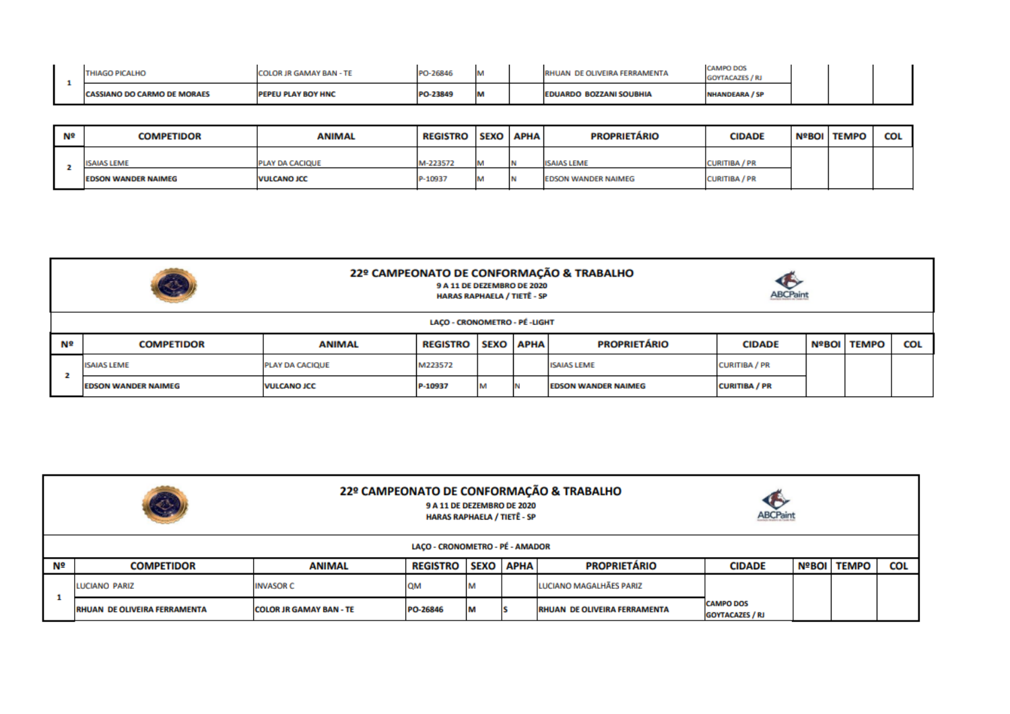| <b>HIAGO PICALHO</b>               | <b>IR GAMAY BAN - TE</b> | <b>DERAE</b> | <b>But</b><br><b>IVI</b> | RHUAN DE OLIVEIRA FERRAMENTA   | <b>CAMPO DOS</b>      |  |  |
|------------------------------------|--------------------------|--------------|--------------------------|--------------------------------|-----------------------|--|--|
| <b>CASSIANO DO CARMO DE MORAES</b> | EU PLAY BOY HNC          | 1,22940      | <b>A</b><br>ш            | <b>EDUARDO BOZZANI SOUBHIA</b> | <b>NHANDEARA / SP</b> |  |  |

| Nº | <b>COMPETIDOR</b>          | <b>ANIMAL</b>          | <b>REGISTRO</b> | <b>SEXO</b> | <b>APHA</b> | <b>PROPRIETÁRIO</b> | <b>CIDADE</b>        | NºBOI   TEMPO | <b>COL</b> |
|----|----------------------------|------------------------|-----------------|-------------|-------------|---------------------|----------------------|---------------|------------|
|    | <b>ISAIAS LEME</b>         | <b>PLAY DA CACIQUE</b> | M-223572        |             | <b>IN</b>   | <b>ISAIAS LEME</b>  | <b>CURITIBA / PR</b> |               |            |
|    | <b>EDSON WANDER NAIMEG</b> | <b>VULCANO JCC</b>     | P-10937         |             |             | EDSON WANDER NAIMEG | <b>CURITIBA / PR</b> |               |            |

|                                                                                                                        | S                              |                                                                                 | 9 A 11 DE DEZEMBRO DE 2020<br><b>HARAS RAPHAELA / TIETË - SP</b> |  |                  | 22º CAMPEONATO DE CONFORMAÇÃO & TRABALHO | <b>ABCPaint</b> |  |                      |            |
|------------------------------------------------------------------------------------------------------------------------|--------------------------------|---------------------------------------------------------------------------------|------------------------------------------------------------------|--|------------------|------------------------------------------|-----------------|--|----------------------|------------|
|                                                                                                                        | LACO - CRONOMETRO - PÉ - LIGHT |                                                                                 |                                                                  |  |                  |                                          |                 |  |                      |            |
| Nº                                                                                                                     | <b>COMPETIDOR</b>              | <b>ANIMAL</b>                                                                   | <b>REGISTRO</b>                                                  |  | <b>SEXO APHA</b> | <b>PROPRIETÁRIO</b>                      | <b>CIDADE</b>   |  | <b>NºBOI   TEMPO</b> | <b>COL</b> |
|                                                                                                                        | <b>ISAIAS LEME</b>             | <b>CURITIBA / PR</b><br>M223572<br><b>ISAIAS LEME</b><br><b>PLAY DA CACIQUE</b> |                                                                  |  |                  |                                          |                 |  |                      |            |
| <b>CURITIBA / PR</b><br>M<br><b>VULCANO JCC</b><br>P-10937<br><b>EDSON WANDER NAIMEG</b><br><b>EDSON WANDER NAIMEG</b> |                                |                                                                                 |                                                                  |  |                  |                                          |                 |  |                      |            |

|    | O                                   |                                 | 9 A 11 DE DEZEMBRO DE 2020<br><b>HARAS RAPHAELA / TIETÊ - SP</b> |   |  | 22º CAMPEONATO DE CONFORMAÇÃO & TRABALHO | œ<br><b>ABCPaint</b>                       |  |             |     |  |
|----|-------------------------------------|---------------------------------|------------------------------------------------------------------|---|--|------------------------------------------|--------------------------------------------|--|-------------|-----|--|
|    | LACO - CRONOMETRO - PÉ - AMADOR     |                                 |                                                                  |   |  |                                          |                                            |  |             |     |  |
| Nº | <b>COMPETIDOR</b>                   | <b>ANIMAL</b>                   | <b>REGISTRO   SEXO   APHA</b>                                    |   |  | <b>PROPRIETÁRIO</b>                      | <b>CIDADE</b>                              |  | NºBOI FEMPO | COL |  |
|    | <b>LUCIANO PARIZ</b>                | <b>INVASOR C</b>                | <b>OM</b>                                                        | м |  | LUCIANO MAGALHÃES PARIZ                  |                                            |  |             |     |  |
|    | <b>RHUAN DE OLIVEIRA FERRAMENTA</b> | <b>ICOLOR JR GAMAY BAN - TE</b> | PO-26846                                                         | M |  | <b>RHUAN DE OLIVEIRA FERRAMENTA</b>      | <b>CAMPO DOS</b><br><b>GOYTACAZES / RJ</b> |  |             |     |  |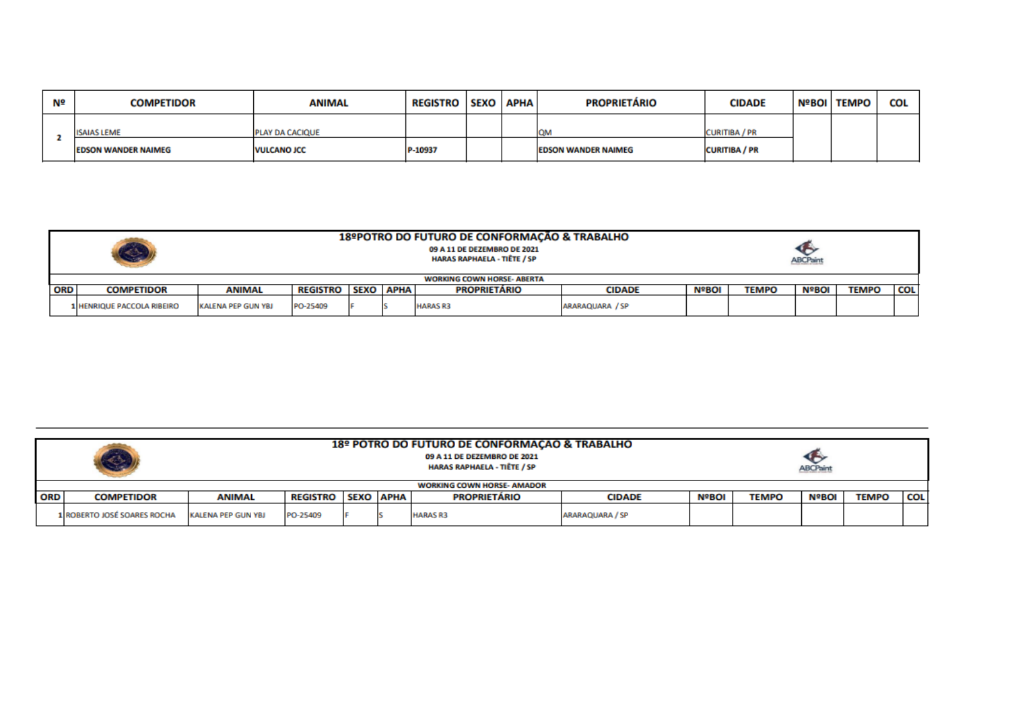| Nº | <b>COMPETIDOR</b>          | <b>ANIMAL</b>      | <b>REGISTRO</b> | SEXO APHA | <b>PROPRIETÁRIO</b>        | <b>CIDADE</b>        | <b>NºBOI TEMPO</b> | COL |
|----|----------------------------|--------------------|-----------------|-----------|----------------------------|----------------------|--------------------|-----|
|    | <b>ISAIAS LEME</b>         | PLAY DA CACIQUE    |                 |           | <b>CON</b>                 | CURITIBA / PR        |                    |     |
|    | <b>EDSON WANDER NAIMEG</b> | <b>VULCANO JCC</b> | P-10937         |           | <b>EDSON WANDER NAIMEG</b> | <b>CURITIBA / PR</b> |                    |     |

|            | 18ºPOTRO DO FUTURO DE CONFORMAÇÃO & TRABALHO<br>09 A 11 DE DEZEMBRO DE 2021<br><b>HARAS RAPHAELA - TIÊTE / SP</b><br><b>ABCPaint</b> |                    |                                 |  |  |                                   |                 |              |              |              |              |            |
|------------|--------------------------------------------------------------------------------------------------------------------------------------|--------------------|---------------------------------|--|--|-----------------------------------|-----------------|--------------|--------------|--------------|--------------|------------|
|            |                                                                                                                                      |                    |                                 |  |  | <b>WORKING COWN HORSE- ABERTA</b> |                 |              |              |              |              |            |
| <b>ORD</b> | <b>COMPETIDOR</b>                                                                                                                    | <b>ANIMAL</b>      | <b>REGISTRO   SEXO   APHA  </b> |  |  | <b>PROPRIETÁRIO</b>               | <b>CIDADE</b>   | <b>NºBOI</b> | <b>TEMPO</b> | <b>NºBOI</b> | <b>TEMPO</b> | <b>COL</b> |
|            | 1 HENRIQUE PACCOLA RIBEIRO                                                                                                           | KALENA PEP GUN YBJ | PO-25409                        |  |  | <b>HARAS R3</b>                   | ARARAQUARA / SP |              |              |              |              |            |

|            | 18º POTRO DO FUTURO DE CONFORMAÇÃO & TRABALHO<br>09 A 11 DE DEZEMBRO DE 2021<br><b>HARAS RAPHAELA - TIÊTE / SP</b><br><b>ABCPaint</b> |                    |                 |  |                  |                                   |                 |              |              |              |              |            |
|------------|---------------------------------------------------------------------------------------------------------------------------------------|--------------------|-----------------|--|------------------|-----------------------------------|-----------------|--------------|--------------|--------------|--------------|------------|
|            |                                                                                                                                       |                    |                 |  |                  | <b>WORKING COWN HORSE- AMADOR</b> |                 |              |              |              |              |            |
| <b>ORD</b> | <b>COMPETIDOR</b>                                                                                                                     | <b>ANIMAL</b>      | <b>REGISTRO</b> |  | <b>SEXO APHA</b> | <b>PROPRIETÁRIO</b>               | <b>CIDADE</b>   | <b>NºBOI</b> | <b>TEMPO</b> | <b>NºBOI</b> | <b>TEMPO</b> | <b>COL</b> |
|            | 1 ROBERTO JOSÉ SOARES ROCHA                                                                                                           | KALENA PEP GUN YBJ | PO-25409        |  |                  | <b>HARAS R3</b>                   | ARARAQUARA / SP |              |              |              |              |            |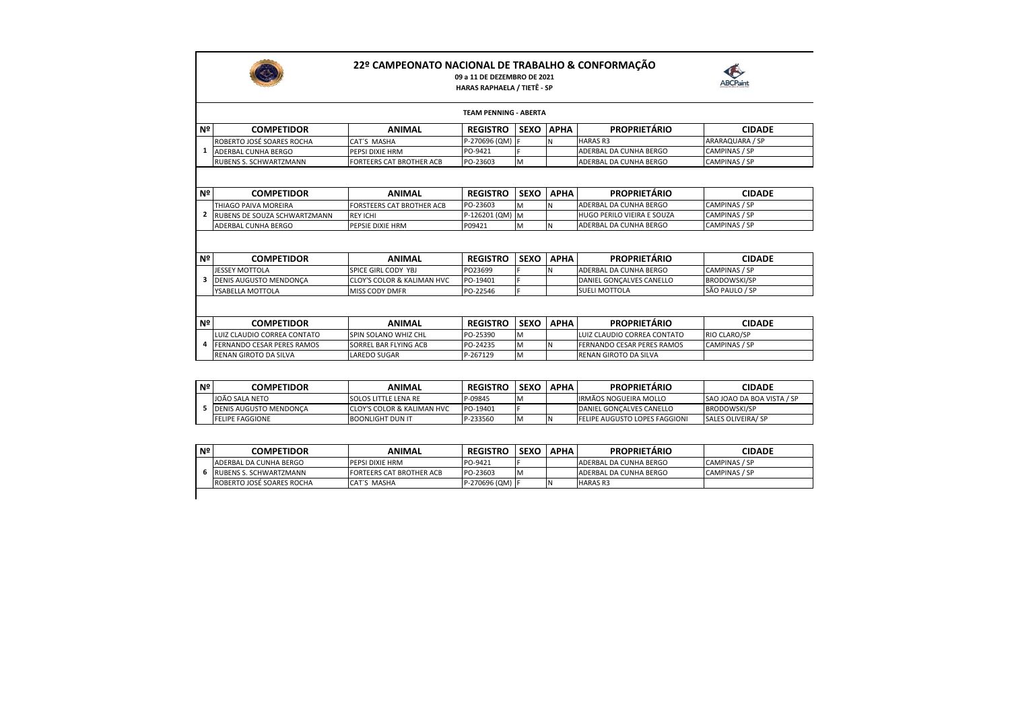

## **22º CAMPEONATO NACIONAL DE TRABALHO & CONFORMAÇÃO**

## **09 a 11 DE DEZEMBRO DE 2021 HARAS RAPHAELA / TIETÊ - SP**



|                |                                   |                                       | <b>TEAM PENNING - ABERTA</b> |             |             |                             |                      |  |  |  |  |
|----------------|-----------------------------------|---------------------------------------|------------------------------|-------------|-------------|-----------------------------|----------------------|--|--|--|--|
| Nº I           | <b>COMPETIDOR</b>                 | <b>ANIMAL</b>                         | <b>REGISTRO</b>              | <b>SEXO</b> | <b>APHA</b> | <b>PROPRIETÁRIO</b>         | <b>CIDADE</b>        |  |  |  |  |
|                | ROBERTO JOSÉ SOARES ROCHA         | CAT'S MASHA                           | P-270696 (QM) F              |             | N           | <b>HARAS R3</b>             | ARARAQUARA / SP      |  |  |  |  |
|                | 1 ADERBAL CUNHA BERGO             | PEPSI DIXIE HRM                       | PO-9421                      |             |             | ADERBAL DA CUNHA BERGO      | CAMPINAS / SP        |  |  |  |  |
|                | <b>RUBENS S. SCHWARTZMANN</b>     | <b>FORTEERS CAT BROTHER ACB</b>       | PO-23603                     | M           |             | ADERBAL DA CUNHA BERGO      | CAMPINAS / SP        |  |  |  |  |
|                |                                   |                                       |                              |             |             |                             |                      |  |  |  |  |
| Nº I           | <b>COMPETIDOR</b>                 | <b>ANIMAL</b>                         | <b>REGISTRO</b>              | <b>SEXO</b> | <b>APHA</b> | <b>PROPRIETÁRIO</b>         | <b>CIDADE</b>        |  |  |  |  |
|                | THIAGO PAIVA MOREIRA              | <b>FORSTEERS CAT BROTHER ACB</b>      | PO-23603                     | M           | N           | ADERBAL DA CUNHA BERGO      | CAMPINAS / SP        |  |  |  |  |
| $\overline{2}$ | RUBENS DE SOUZA SCHWARTZMANN      | <b>REY ICHI</b>                       | P-126201 (QM) M              |             |             | HUGO PERILO VIEIRA E SOUZA  | CAMPINAS / SP        |  |  |  |  |
|                | ADERBAL CUNHA BERGO               | PEPSIE DIXIE HRM                      | P09421                       | M           | N           | ADERBAL DA CUNHA BERGO      | <b>CAMPINAS / SP</b> |  |  |  |  |
|                |                                   |                                       |                              |             |             |                             |                      |  |  |  |  |
| Nº             | <b>COMPETIDOR</b>                 | <b>ANIMAL</b>                         | <b>REGISTRO</b>              | SEXO        | <b>APHA</b> | <b>PROPRIETÁRIO</b>         | <b>CIDADE</b>        |  |  |  |  |
|                | <b>JESSEY MOTTOLA</b>             | SPICE GIRL CODY YBJ                   | PO23699                      |             | N           | ADERBAL DA CUNHA BERGO      | CAMPINAS / SP        |  |  |  |  |
| 3              | <b>DENIS AUGUSTO MENDONCA</b>     | <b>CLOY'S COLOR &amp; KALIMAN HVC</b> | PO-19401                     |             |             | DANIEL GONÇALVES CANELLO    | <b>BRODOWSKI/SP</b>  |  |  |  |  |
|                | YSABELLA MOTTOLA                  | <b>MISS CODY DMFR</b>                 | PO-22546                     | E           |             | SUELI MOTTOLA               | SÃO PAULO / SP       |  |  |  |  |
|                |                                   |                                       |                              |             |             |                             |                      |  |  |  |  |
| Nº I           | <b>COMPETIDOR</b>                 | <b>ANIMAL</b>                         | <b>REGISTRO</b>              | <b>SEXO</b> | <b>APHA</b> | <b>PROPRIETÁRIO</b>         | <b>CIDADE</b>        |  |  |  |  |
|                | LUIZ CLAUDIO CORREA CONTATO       | SPIN SOLANO WHIZ CHL                  | PO-25390                     | M           |             | LUIZ CLAUDIO CORREA CONTATO | RIO CLARO/SP         |  |  |  |  |
| 4              | <b>FERNANDO CESAR PERES RAMOS</b> | SORREL BAR FLYING ACB                 | PO-24235                     | M           | N           | FERNANDO CESAR PERES RAMOS  | CAMPINAS / SP        |  |  |  |  |
|                | <b>RENAN GIROTO DA SILVA</b>      | LAREDO SUGAR                          | P-267129                     | M           |             | RENAN GIROTO DA SILVA       |                      |  |  |  |  |

| Nº | <b>COMPETIDOR</b>             | ANIMAL                                 | <b>REGISTRO</b> | <b>SEXO</b> | <b>APHA</b> | <b>PROPRIETARIO</b>                  | <b>CIDADE</b>                     |
|----|-------------------------------|----------------------------------------|-----------------|-------------|-------------|--------------------------------------|-----------------------------------|
|    | JOÃO SALA NETO                | <b>SOLOS LITTLE LENA RE</b>            | P-09845         | IM          |             | IRMÃOS NOGUEIRA MOLLO                | <b>SAO JOAO DA BOA VISTA / SP</b> |
|    | <b>DENIS AUGUSTO MENDONCA</b> | <b>ICLOY'S COLOR &amp; KALIMAN HVC</b> | PO-19401        |             |             | <b>DANIEL GONCALVES CANELLO</b>      | <b>BRODOWSKI/SP</b>               |
|    | <b>FELIPE FAGGIONE</b>        | <b>BOONLIGHT DUN IT</b>                | P-233560        | ıΜ          |             | <b>FELIPE AUGUSTO LOPES FAGGIONI</b> | SALES OLIVEIRA/ SP                |

| Nº | <b>COMPETIDOR</b>             | <b>ANIMAL</b>                   | <b>REGISTRO</b> | l SEXO | <b>APHA</b> | <b>PROPRIETARIO</b>    | <b>CIDADE</b> |
|----|-------------------------------|---------------------------------|-----------------|--------|-------------|------------------------|---------------|
|    | IADERBAL DA CUNHA BERGO       | <b>PEPSI DIXIE HRM</b>          | PO-9421         |        |             | ADERBAL DA CUNHA BERGO | CAMPINAS / SP |
|    | <b>RUBENS S. SCHWARTZMANN</b> | <b>FORTEERS CAT BROTHER ACB</b> | PO-23603        | IM     |             | ADERBAL DA CUNHA BERGO | CAMPINAS / SP |
|    | ROBERTO JOSÉ SOARES ROCHA     | CAT'S MASHA                     | P-270696 (QM) F |        |             | <b>HARAS R3</b>        |               |
|    |                               |                                 |                 |        |             |                        |               |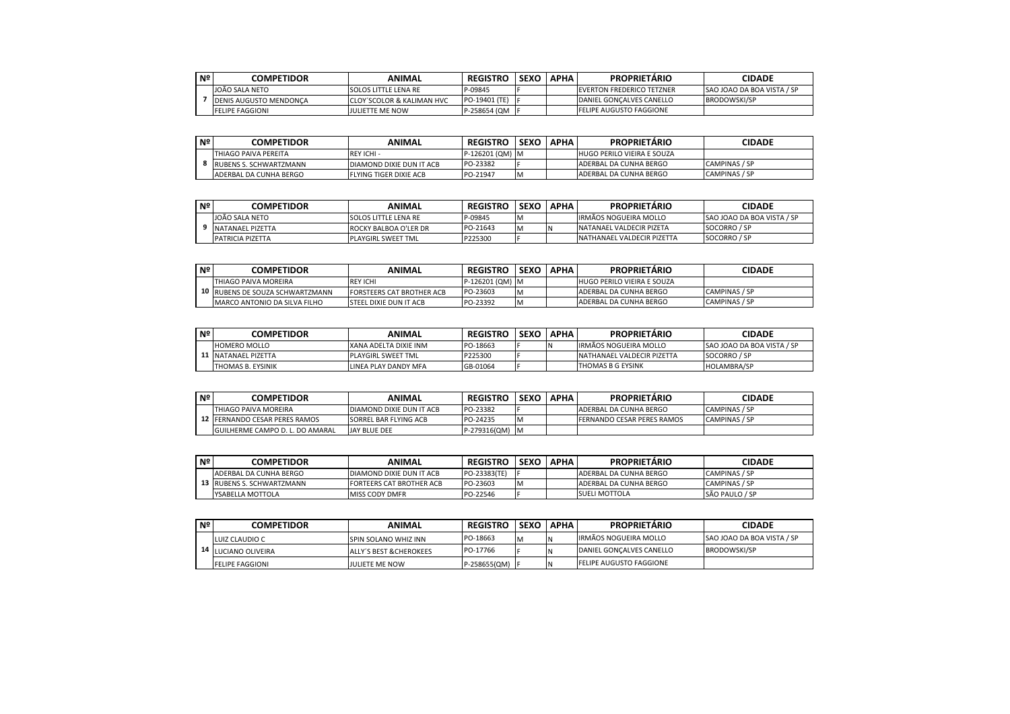| Nº | COMPETIDOR                    | ANIMAL                               | <b>REGISTRO</b> | <b>SEXO</b> | <b>APHA</b> | <b>PROPRIETARIO</b>               | <b>CIDADE</b>                     |
|----|-------------------------------|--------------------------------------|-----------------|-------------|-------------|-----------------------------------|-----------------------------------|
|    | JOÃO SALA NETO                | <b>SOLOS LITTLE LENA RE</b>          | P-09845         |             |             | <b>IEVERTON FREDERICO TETZNER</b> | <b>SAO JOAO DA BOA VISTA / SP</b> |
|    | <b>DENIS AUGUSTO MENDONCA</b> | <b>CLOY'SCOLOR &amp; KALIMAN HVC</b> | PO-19401 (TE)   |             |             | <b>IDANIEL GONCALVES CANELLO</b>  | <b>BRODOWSKI/SP</b>               |
|    | <b>FELIPE FAGGIONI</b>        | JULIETTE ME NOW                      | P-258654 (QM    |             |             | <b>FELIPE AUGUSTO FAGGIONE</b>    |                                   |

| i Nº | COMPETIDOR             | ANIMAL                        | <b>REGISTRO</b> | <b>SEXO</b> | <b>APHA</b> | <b>PROPRIETARIO</b>               | <b>CIDADE</b> |
|------|------------------------|-------------------------------|-----------------|-------------|-------------|-----------------------------------|---------------|
|      | ITHIAGO PAIVA PEREITA  | REY ICHI -                    | P-126201 (QM) M |             |             | <b>HUGO PERILO VIEIRA E SOUZA</b> |               |
|      | RUBENS S. SCHWARTZMANN | DIAMOND DIXIE DUN IT ACB      | PO-23382        |             |             | <b>ADERBAL DA CUNHA BERGO</b>     | CAMPINAS / SP |
|      | ADERBAL DA CUNHA BERGO | <b>FLYING TIGER DIXIE ACB</b> | PO-21947        | M           |             | <b>ADERBAL DA CUNHA BERGO</b>     | CAMPINAS / SP |

| . Nº | <b>COMPETIDOR</b>       | ANIMAL                       | <b>REGISTRO</b> | <b>SEXC</b> | <b>APHA</b> | <b>PROPRIETÁRIO</b>          | <b>CIDADE</b>                     |
|------|-------------------------|------------------------------|-----------------|-------------|-------------|------------------------------|-----------------------------------|
|      | JOÃO SALA NETO          | <b>ISOLOS LITTLE LENA RE</b> | P-09845         | <b>N</b>    |             | <b>IRMÃOS NOGUEIRA MOLLO</b> | <b>SAO JOAO DA BOA VISTA / SP</b> |
|      | NATANAEL PIZETTA        | ROCKY BALBOA O'LER DR        | PO-21643        | IM.         |             | NATANAEL VALDECIR PIZETA     | SOCORRO / SP                      |
|      | <b>PATRICIA PIZETTA</b> | <b>PLAYGIRL SWEET TML</b>    | P225300         |             |             | NATHANAEL VALDECIR PIZETTA   | SOCORRO / SP                      |

| ⊦Nº | COMPETIDOR                      | ANIMAL                           | <b>REGISTRO</b> | <b>SEXO</b> | <b>APHA</b> | <b>PROPRIETÁRIO</b>               | <b>CIDADE</b> |
|-----|---------------------------------|----------------------------------|-----------------|-------------|-------------|-----------------------------------|---------------|
|     | THIAGO PAIVA MOREIRA            | <b>REY ICHI</b>                  | P-126201 (QM) M |             |             | <b>HUGO PERILO VIEIRA E SOUZA</b> |               |
|     | 10 RUBENS DE SOUZA SCHWARTZMANN | <b>FORSTEERS CAT BROTHER ACB</b> | PO-23603        | M           |             | IADERBAL DA CUNHA BERGO           | CAMPINAS / SP |
|     | IMARCO ANTONIO DA SILVA FILHO   | <b>ISTEEL DIXIE DUN IT ACB</b>   | PO-23392        | M           |             | ADERBAL DA CUNHA BERGO            | CAMPINAS / SP |

| Nº | <b>COMPETIDOR</b>   | ANIMAL                    | <b>REGISTRO</b> | <b>SEXO</b> | <b>APHA</b> | <b>PROPRIETARIO</b>               | CIDADE                            |
|----|---------------------|---------------------------|-----------------|-------------|-------------|-----------------------------------|-----------------------------------|
|    | <b>HOMERO MOLLO</b> | XANA ADELTA DIXIE INM     | PO-18663        |             |             | IRMÃOS NOGUEIRA MOLLO             | <b>SAO JOAO DA BOA VISTA / SP</b> |
|    | NATANAEL PIZETTA    | <b>PLAYGIRL SWEET TML</b> | P225300         |             |             | <b>NATHANAEL VALDECIR PIZETTA</b> | SOCORRO / SP                      |
|    | THOMAS B. EYSINIK   | LINEA PLAY DANDY MFA      | GB-01064        |             |             | THOMAS B G EYSINK                 | <b>HOLAMBRA/SP</b>                |

| Nº | <b>COMPETIDOR</b>                    | ANIMAL                        | <b>REGISTRO</b> | <b>SEXC</b> | <b>APHA</b> | <b>PROPRIETARIO</b>               | <b>CIDADE</b> |
|----|--------------------------------------|-------------------------------|-----------------|-------------|-------------|-----------------------------------|---------------|
|    | <b>ITHIAGO PAIVA MOREIRA</b>         | DIAMOND DIXIE DUN IT ACB      | PO-23382        |             |             | ADERBAL DA CUNHA BERGO            | CAMPINAS / SP |
|    | <b>12 FERNANDO CESAR PERES RAMOS</b> | <b>ISORREL BAR FLYING ACB</b> | PO-24235        | IM          |             | <b>FERNANDO CESAR PERES RAMOS</b> | CAMPINAS / SP |
|    | GUILHERME CAMPO D. L. DO AMARAL      | JAY BLUE DEE                  | P-279316(QM) M  |             |             |                                   |               |

| i Nº | COMPETIDOR                | ANIMAL                          | <b>REGISTRO</b> | <b>SEXO</b> | <b>APHA</b> | <b>PROPRIETARIO</b>            | <b>CIDADE</b>  |
|------|---------------------------|---------------------------------|-----------------|-------------|-------------|--------------------------------|----------------|
|      | IADERBAL DA CUNHA BERGO   | DIAMOND DIXIE DUN IT ACB        | PO-23383(TE)    |             |             | ADERBAL DA CUNHA BERGO         | CAMPINAS / SP  |
|      | 13 RUBENS S. SCHWARTZMANN | <b>FORTEERS CAT BROTHER ACB</b> | PO-23603        | <b>IM</b>   |             | <b>IADERBAL DA CUNHA BERGO</b> | CAMPINAS / SP  |
|      | YSABELLA MOTTOLA          | <b>MISS CODY DMFR</b>           | PO-22546        |             |             | <b>ISUELI MOTTOLA</b>          | SÃO PAULO / SP |

| Nº   | <b>COMPETIDOR</b>      | ANIMAL                             | <b>REGISTRO</b> | <b>SEXO</b> | <b>APHA</b> | <b>PROPRIETÁRIO</b>              | CIDADE                     |
|------|------------------------|------------------------------------|-----------------|-------------|-------------|----------------------------------|----------------------------|
|      | LUIZ CLAUDIO C         | <b>ISPIN SOLANO WHIZ INN</b>       | PO-18663        | <b>IM</b>   |             | IRMÃOS NOGUEIRA MOLLO            | SAO JOAO DA BOA VISTA / SP |
| 14 I | LUCIANO OLIVEIRA       | <b>ALLY'S BEST &amp; CHEROKEES</b> | PO-17766        |             |             | <b>IDANIEL GONCALVES CANELLO</b> | <b>BRODOWSKI/SP</b>        |
|      | <b>FELIPE FAGGIONI</b> | JULIETE ME NOW                     | P-258655(QM)    |             |             | <b>FELIPE AUGUSTO FAGGIONE</b>   |                            |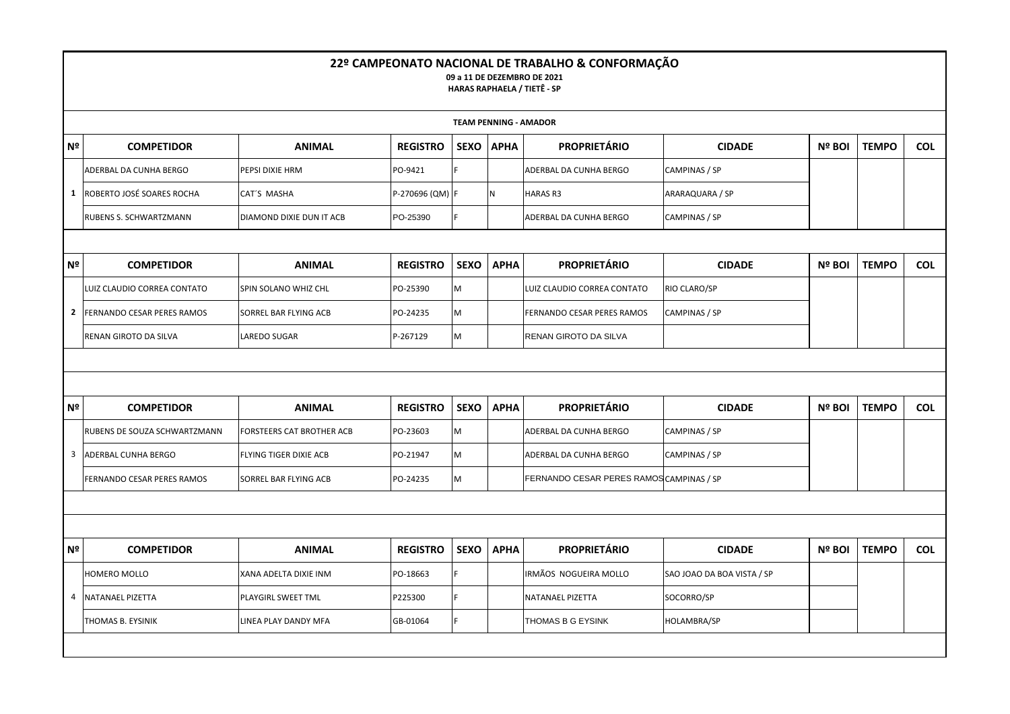|                |                                   |                                  |                 |             |             | 22º CAMPEONATO NACIONAL DE TRABALHO & CONFORMAÇÃO<br>09 a 11 DE DEZEMBRO DE 2021<br><b>HARAS RAPHAELA / TIETÊ - SP</b> |                            |               |              |            |
|----------------|-----------------------------------|----------------------------------|-----------------|-------------|-------------|------------------------------------------------------------------------------------------------------------------------|----------------------------|---------------|--------------|------------|
|                |                                   |                                  |                 |             |             | <b>TEAM PENNING - AMADOR</b>                                                                                           |                            |               |              |            |
| N <sup>o</sup> | <b>COMPETIDOR</b>                 | <b>ANIMAL</b>                    | <b>REGISTRO</b> | <b>SEXO</b> | <b>APHA</b> | <b>PROPRIETÁRIO</b>                                                                                                    | <b>CIDADE</b>              | <b>Nº BOI</b> | <b>TEMPO</b> | <b>COL</b> |
|                | ADERBAL DA CUNHA BERGO            | PEPSI DIXIE HRM                  | PO-9421         |             |             | ADERBAL DA CUNHA BERGO                                                                                                 | CAMPINAS / SP              |               |              |            |
| 1              | ROBERTO JOSÉ SOARES ROCHA         | CAT'S MASHA                      | P-270696 (QM) F |             | N           | <b>HARAS R3</b>                                                                                                        | ARARAQUARA / SP            |               |              |            |
|                | RUBENS S. SCHWARTZMANN            | DIAMOND DIXIE DUN IT ACB         | PO-25390        |             |             | ADERBAL DA CUNHA BERGO                                                                                                 | CAMPINAS / SP              |               |              |            |
|                |                                   |                                  |                 |             |             |                                                                                                                        |                            |               |              |            |
| Nº             | <b>COMPETIDOR</b>                 | <b>ANIMAL</b>                    | <b>REGISTRO</b> | <b>SEXO</b> | <b>APHA</b> | <b>PROPRIETÁRIO</b>                                                                                                    | <b>CIDADE</b>              | Nº BOI        | <b>TEMPO</b> | <b>COL</b> |
|                | LUIZ CLAUDIO CORREA CONTATO       | SPIN SOLANO WHIZ CHL             | PO-25390        | M           |             | LUIZ CLAUDIO CORREA CONTATO                                                                                            | RIO CLARO/SP               |               |              |            |
| 2              | <b>FERNANDO CESAR PERES RAMOS</b> | SORREL BAR FLYING ACB            | PO-24235        | M           |             | FERNANDO CESAR PERES RAMOS                                                                                             | CAMPINAS / SP              |               |              |            |
|                | RENAN GIROTO DA SILVA             | LAREDO SUGAR                     | P-267129        | M           |             | RENAN GIROTO DA SILVA                                                                                                  |                            |               |              |            |
|                |                                   |                                  |                 |             |             |                                                                                                                        |                            |               |              |            |
|                |                                   |                                  |                 |             |             |                                                                                                                        |                            |               |              |            |
| N <sup>o</sup> | <b>COMPETIDOR</b>                 | <b>ANIMAL</b>                    | <b>REGISTRO</b> | <b>SEXO</b> | <b>APHA</b> | <b>PROPRIETÁRIO</b>                                                                                                    | <b>CIDADE</b>              | <b>Nº BOI</b> | <b>TEMPO</b> | <b>COL</b> |
|                | RUBENS DE SOUZA SCHWARTZMANN      | <b>FORSTEERS CAT BROTHER ACB</b> | PO-23603        | M           |             | ADERBAL DA CUNHA BERGO                                                                                                 | CAMPINAS / SP              |               |              |            |
| 3              | ADERBAL CUNHA BERGO               | FLYING TIGER DIXIE ACB           | PO-21947        | M           |             | ADERBAL DA CUNHA BERGO                                                                                                 | CAMPINAS / SP              |               |              |            |
|                | FERNANDO CESAR PERES RAMOS        | SORREL BAR FLYING ACB            | PO-24235        | M           |             | FERNANDO CESAR PERES RAMOS CAMPINAS / SP                                                                               |                            |               |              |            |
|                |                                   |                                  |                 |             |             |                                                                                                                        |                            |               |              |            |
|                |                                   |                                  |                 |             |             |                                                                                                                        |                            |               |              |            |
| Nº             | <b>COMPETIDOR</b>                 | <b>ANIMAL</b>                    | <b>REGISTRO</b> | <b>SEXO</b> | <b>APHA</b> | <b>PROPRIETÁRIO</b>                                                                                                    | <b>CIDADE</b>              | Nº BOI        | <b>TEMPO</b> | <b>COL</b> |
|                | HOMERO MOLLO                      | XANA ADELTA DIXIE INM            | PO-18663        |             |             | IRMÃOS NOGUEIRA MOLLO                                                                                                  | SAO JOAO DA BOA VISTA / SP |               |              |            |
| $\overline{4}$ | NATANAEL PIZETTA                  | PLAYGIRL SWEET TML               | P225300         |             |             | <b>NATANAEL PIZETTA</b>                                                                                                | SOCORRO/SP                 |               |              |            |
|                | THOMAS B. EYSINIK                 | LINEA PLAY DANDY MFA             | GB-01064        | F.          |             | THOMAS B G EYSINK                                                                                                      | <b>HOLAMBRA/SP</b>         |               |              |            |
|                |                                   |                                  |                 |             |             |                                                                                                                        |                            |               |              |            |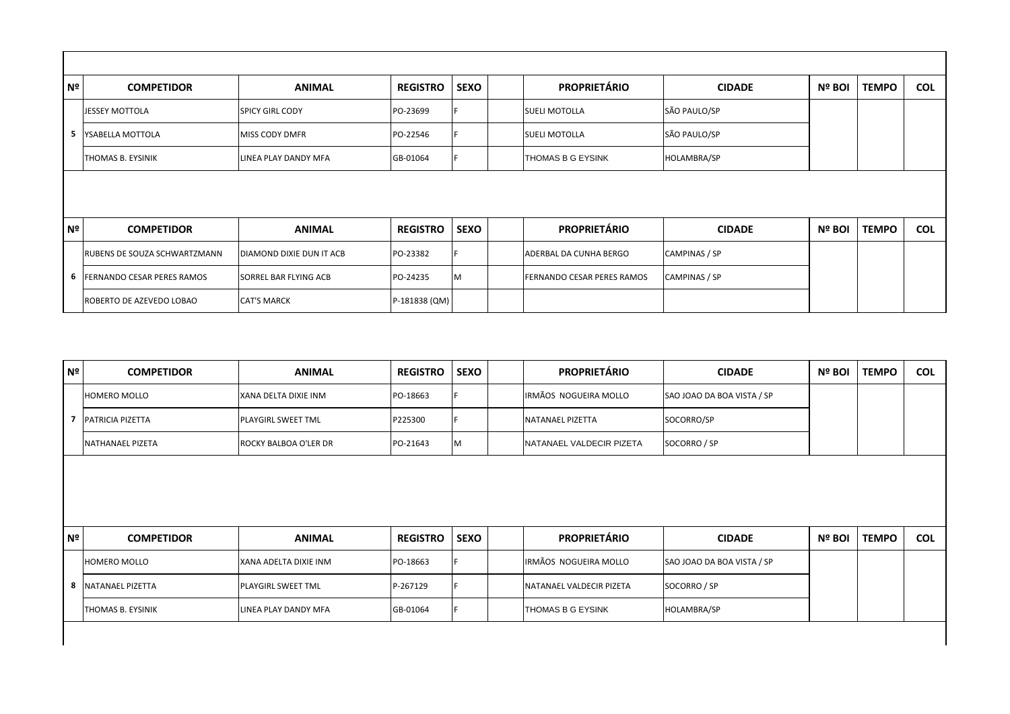| Nº             | <b>COMPETIDOR</b>            | <b>ANIMAL</b>                | <b>REGISTRO</b> | <b>SEXO</b> | <b>PROPRIETÁRIO</b>        | <b>CIDADE</b>      | Nº BOI | <b>TEMPO</b> | <b>COL</b> |
|----------------|------------------------------|------------------------------|-----------------|-------------|----------------------------|--------------------|--------|--------------|------------|
|                | <b>JESSEY MOTTOLA</b>        | <b>SPICY GIRL CODY</b>       | PO-23699        |             | <b>SUELI MOTOLLA</b>       | SÃO PAULO/SP       |        |              |            |
|                | 5 YSABELLA MOTTOLA           | MISS CODY DMFR               | PO-22546        |             | <b>SUELI MOTOLLA</b>       | SÃO PAULO/SP       |        |              |            |
|                | THOMAS B. EYSINIK            | LINEA PLAY DANDY MFA         | GB-01064        |             | THOMAS B G EYSINK          | <b>HOLAMBRA/SP</b> |        |              |            |
|                |                              |                              |                 |             |                            |                    |        |              |            |
| N <sup>o</sup> | <b>COMPETIDOR</b>            | <b>ANIMAL</b>                | <b>REGISTRO</b> | <b>SEXO</b> | <b>PROPRIETÁRIO</b>        | <b>CIDADE</b>      | Nº BOI | <b>TEMPO</b> | <b>COL</b> |
|                | RUBENS DE SOUZA SCHWARTZMANN | DIAMOND DIXIE DUN IT ACB     | PO-23382        |             | ADERBAL DA CUNHA BERGO     | CAMPINAS / SP      |        |              |            |
|                | 6 FERNANDO CESAR PERES RAMOS | <b>SORREL BAR FLYING ACB</b> | PO-24235        | ΙM          | FERNANDO CESAR PERES RAMOS | CAMPINAS / SP      |        |              |            |
|                | ROBERTO DE AZEVEDO LOBAO     | <b>CAT'S MARCK</b>           | P-181838 (QM)   |             |                            |                    |        |              |            |

| N <sup>o</sup><br><b>COMPETIDOR</b> | <b>ANIMAL</b>         | <b>REGISTRO</b> | <b>SEXO</b> | <b>PROPRIETÁRIO</b>      | <b>CIDADE</b> | Nº BOI                                                                                                                       | <b>TEMPO</b> | <b>COL</b> |
|-------------------------------------|-----------------------|-----------------|-------------|--------------------------|---------------|------------------------------------------------------------------------------------------------------------------------------|--------------|------------|
| <b>HOMERO MOLLO</b>                 | XANA DELTA DIXIE INM  | PO-18663        |             | IRMÃOS NOGUEIRA MOLLO    |               |                                                                                                                              |              |            |
| <b>PATRICIA PIZETTA</b>             | PLAYGIRL SWEET TML    | P225300         |             | <b>NATANAEL PIZETTA</b>  |               |                                                                                                                              |              |            |
| NATHANAEL PIZETA                    | ROCKY BALBOA O'LER DR | PO-21643        | М           | NATANAEL VALDECIR PIZETA |               |                                                                                                                              |              |            |
|                                     |                       |                 |             |                          |               |                                                                                                                              |              |            |
|                                     |                       |                 |             |                          |               |                                                                                                                              |              |            |
| Nº<br><b>COMPETIDOR</b>             | <b>ANIMAL</b>         | <b>REGISTRO</b> | <b>SEXO</b> | <b>PROPRIETÁRIO</b>      | <b>CIDADE</b> | Nº BOI                                                                                                                       | <b>TEMPO</b> | <b>COL</b> |
| <b>HOMERO MOLLO</b>                 | XANA ADELTA DIXIE INM | PO-18663        |             | IRMÃOS NOGUEIRA MOLLO    |               |                                                                                                                              |              |            |
| 8 NATANAEL PIZETTA                  | PLAYGIRL SWEET TML    | P-267129        |             | NATANAEL VALDECIR PIZETA |               |                                                                                                                              |              |            |
| THOMAS B. EYSINIK                   | LINEA PLAY DANDY MFA  | GB-01064        |             | THOMAS B G EYSINK        |               |                                                                                                                              |              |            |
|                                     |                       |                 |             |                          |               | SAO JOAO DA BOA VISTA / SP<br>SOCORRO/SP<br>SOCORRO / SP<br>SAO JOAO DA BOA VISTA / SP<br>SOCORRO / SP<br><b>HOLAMBRA/SP</b> |              |            |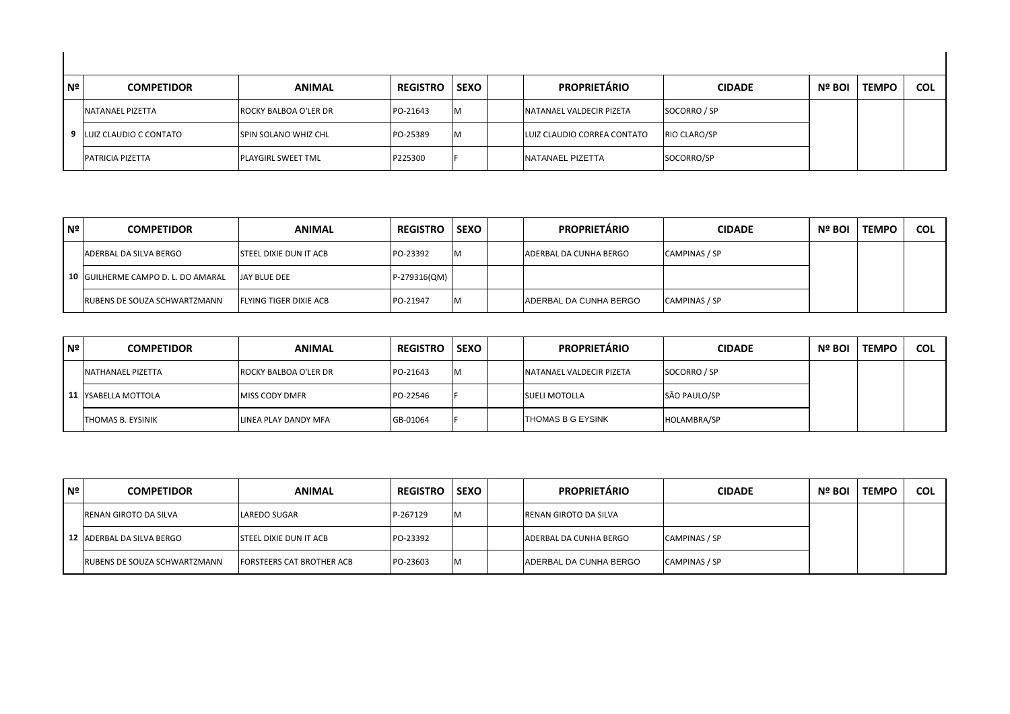| Nº | <b>COMPETIDOR</b>        | <b>ANIMAL</b>         | <b>REGISTRO</b> | <b>SEXO</b> | <b>PROPRIETÁRIO</b>              | <b>CIDADE</b> | Nº BOI | <b>TEMPO</b> | <b>COL</b> |
|----|--------------------------|-----------------------|-----------------|-------------|----------------------------------|---------------|--------|--------------|------------|
|    | NATANAEL PIZETTA         | ROCKY BALBOA O'LER DR | PO-21643        | M           | <b>INATANAEL VALDECIR PIZETA</b> | SOCORRO / SP  |        |              |            |
|    | 9 LUIZ CLAUDIO C CONTATO | SPIN SOLANO WHIZ CHL  | PO-25389        | M           | LUIZ CLAUDIO CORREA CONTATO      | RIO CLARO/SP  |        |              |            |
|    | <b>PATRICIA PIZETTA</b>  | PLAYGIRL SWEET TML    | P225300         |             | NATANAEL PIZETTA                 | SOCORRO/SP    |        |              |            |

| Nº | <b>COMPETIDOR</b>                  | <b>ANIMAL</b>                 | <b>REGISTRO</b> | <b>SEXO</b> | <b>PROPRIETÁRIO</b>    | <b>CIDADE</b> | Nº BOI | <b>TEMPO</b> | <b>COL</b> |
|----|------------------------------------|-------------------------------|-----------------|-------------|------------------------|---------------|--------|--------------|------------|
|    | <b>ADERBAL DA SILVA BERGO</b>      | <b>STEEL DIXIE DUN IT ACB</b> | PO-23392        | <b>M</b>    | ADERBAL DA CUNHA BERGO | CAMPINAS / SP |        |              |            |
|    | 10 GUILHERME CAMPO D. L. DO AMARAL | JAY BLUE DEE                  | P-279316(QM)    |             |                        |               |        |              |            |
|    | RUBENS DE SOUZA SCHWARTZMANN       | <b>FLYING TIGER DIXIE ACB</b> | PO-21947        | <b>M</b>    | ADERBAL DA CUNHA BERGO | CAMPINAS / SP |        |              |            |

| l Nº | <b>COMPETIDOR</b>   | <b>ANIMAL</b>         | <b>REGISTRO</b> | <b>SEXO</b> | <b>PROPRIETÁRIO</b>      | <b>CIDADE</b> | Nº BOI | <b>TEMPO</b> | <b>COL</b> |
|------|---------------------|-----------------------|-----------------|-------------|--------------------------|---------------|--------|--------------|------------|
|      | NATHANAEL PIZETTA   | ROCKY BALBOA O'LER DR | PO-21643        | <b>M</b>    | NATANAEL VALDECIR PIZETA | SOCORRO / SP  |        |              |            |
|      | 11 YSABELLA MOTTOLA | MISS CODY DMFR        | PO-22546        |             | <b>SUELI MOTOLLA</b>     | SÃO PAULO/SP  |        |              |            |
|      | THOMAS B. EYSINIK   | LINEA PLAY DANDY MFA  | GB-01064        |             | <b>THOMAS B G EYSINK</b> | HOLAMBRA/SP   |        |              |            |

| l Nº | <b>COMPETIDOR</b>                   | <b>ANIMAL</b>                    | <b>REGISTRO</b> | <b>SEXO</b>  | <b>PROPRIETÁRIO</b>          | <b>CIDADE</b> | Nº BOI | l TEMPO | <b>COL</b> |
|------|-------------------------------------|----------------------------------|-----------------|--------------|------------------------------|---------------|--------|---------|------------|
|      | <b>RENAN GIROTO DA SILVA</b>        | LAREDO SUGAR                     | P-267129        | $\mathbf{A}$ | <b>RENAN GIROTO DA SILVA</b> |               |        |         |            |
|      | 12 ADERBAL DA SILVA BERGO           | <b>STEEL DIXIE DUN IT ACB</b>    | PO-23392        |              | ADERBAL DA CUNHA BERGO       | CAMPINAS / SP |        |         |            |
|      | <b>RUBENS DE SOUZA SCHWARTZMANN</b> | <b>FORSTEERS CAT BROTHER ACB</b> | PO-23603        | M            | ADERBAL DA CUNHA BERGO       | CAMPINAS / SP |        |         |            |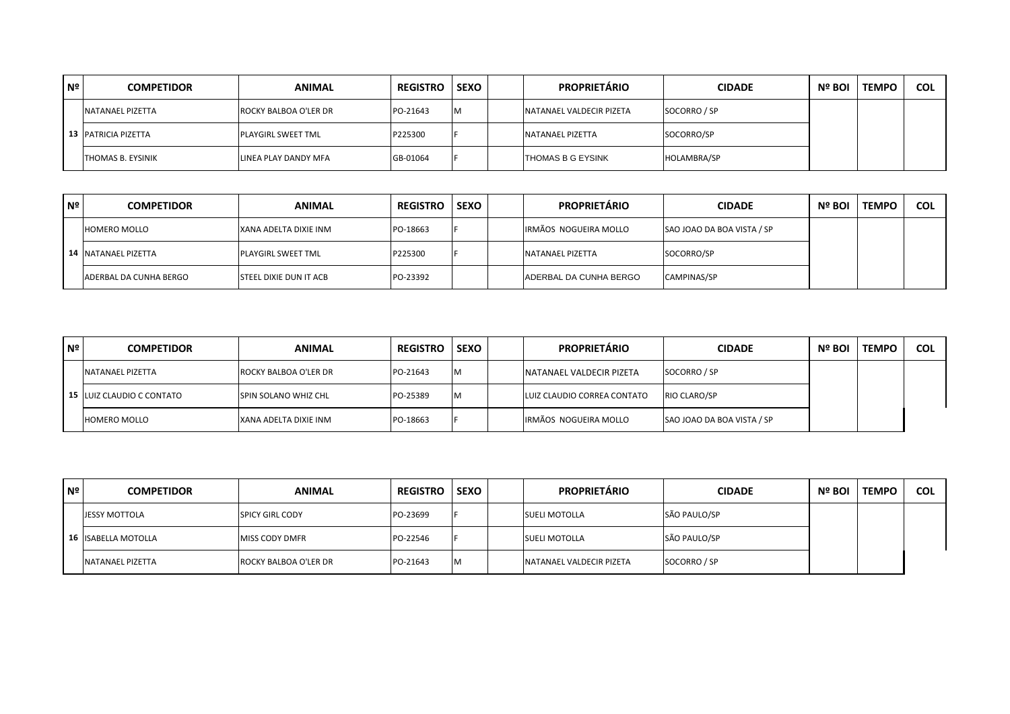| N <sup>o</sup> | <b>COMPETIDOR</b>          | <b>ANIMAL</b>             | <b>REGISTRO</b> | <b>SEXO</b> | <b>PROPRIETÁRIO</b>             | <b>CIDADE</b>      | Nº BOI | <b>TEMPO</b> | <b>COL</b> |
|----------------|----------------------------|---------------------------|-----------------|-------------|---------------------------------|--------------------|--------|--------------|------------|
|                | <b>NATANAEL PIZETTA</b>    | ROCKY BALBOA O'LER DR     | PO-21643        | M           | <b>NATANAEL VALDECIR PIZETA</b> | SOCORRO / SP       |        |              |            |
|                | <b>13 PATRICIA PIZETTA</b> | <b>PLAYGIRL SWEET TML</b> | P225300         |             | NATANAEL PIZETTA                | SOCORRO/SP         |        |              |            |
|                | <b>THOMAS B. EYSINIK</b>   | LINEA PLAY DANDY MFA      | GB-01064        |             | <b>THOMAS B G EYSINK</b>        | <b>HOLAMBRA/SP</b> |        |              |            |

| Nº | <b>COMPETIDOR</b>             | <b>ANIMAL</b>                 | <b>REGISTRO</b> | <b>SEXO</b> | <b>PROPRIETÁRIO</b>    | <b>CIDADE</b>              | Nº BOI | <b>TEMPO</b> | <b>COL</b> |
|----|-------------------------------|-------------------------------|-----------------|-------------|------------------------|----------------------------|--------|--------------|------------|
|    | <b>HOMERO MOLLO</b>           | XANA ADELTA DIXIE INM         | PO-18663        |             | IRMÃOS NOGUEIRA MOLLO  | SAO JOAO DA BOA VISTA / SP |        |              |            |
|    | 14 NATANAEL PIZETTA           | <b>PLAYGIRL SWEET TML</b>     | P225300         |             | NATANAEL PIZETTA       | SOCORRO/SP                 |        |              |            |
|    | <b>ADERBAL DA CUNHA BERGO</b> | <b>STEEL DIXIE DUN IT ACB</b> | PO-23392        |             | ADERBAL DA CUNHA BERGO | <b>CAMPINAS/SP</b>         |        |              |            |

| Nº | <b>COMPETIDOR</b>         | <b>ANIMAL</b>               | <b>REGISTRO</b> | <b>SEXO</b> | <b>PROPRIETÁRIO</b>             | <b>CIDADE</b>              | Nº BOI | <b>TEMPO</b> | <b>COL</b> |
|----|---------------------------|-----------------------------|-----------------|-------------|---------------------------------|----------------------------|--------|--------------|------------|
|    | NATANAEL PIZETTA          | ROCKY BALBOA O'LER DR       | PO-21643        | IM.         | <b>NATANAEL VALDECIR PIZETA</b> | SOCORRO / SP               |        |              |            |
|    | 15 LUIZ CLAUDIO C CONTATO | <b>SPIN SOLANO WHIZ CHL</b> | PO-25389        | M           | LUIZ CLAUDIO CORREA CONTATO     | RIO CLARO/SP               |        |              |            |
|    | <b>HOMERO MOLLO</b>       | XANA ADELTA DIXIE INM       | PO-18663        |             | IRMÃOS NOGUEIRA MOLLO           | SAO JOAO DA BOA VISTA / SP |        |              |            |

| Nº | <b>COMPETIDOR</b>          | <b>ANIMAL</b>          | <b>REGISTRO</b> | <b>SEXO</b> | <b>PROPRIETÁRIO</b>              | <b>CIDADE</b> | Nº BOI | <b>TEMPO</b> | <b>COL</b> |
|----|----------------------------|------------------------|-----------------|-------------|----------------------------------|---------------|--------|--------------|------------|
|    | <b>JESSY MOTTOLA</b>       | <b>SPICY GIRL CODY</b> | PO-23699        |             | <b>SUELI MOTOLLA</b>             | SÃO PAULO/SP  |        |              |            |
|    | <b>16 ISABELLA MOTOLLA</b> | <b>MISS CODY DMFR</b>  | PO-22546        |             | <b>SUELI MOTOLLA</b>             | SÃO PAULO/SP  |        |              |            |
|    | <b>NATANAEL PIZETTA</b>    | ROCKY BALBOA O'LER DR  | PO-21643        | <b>IM</b>   | <b>INATANAEL VALDECIR PIZETA</b> | SOCORRO / SP  |        |              |            |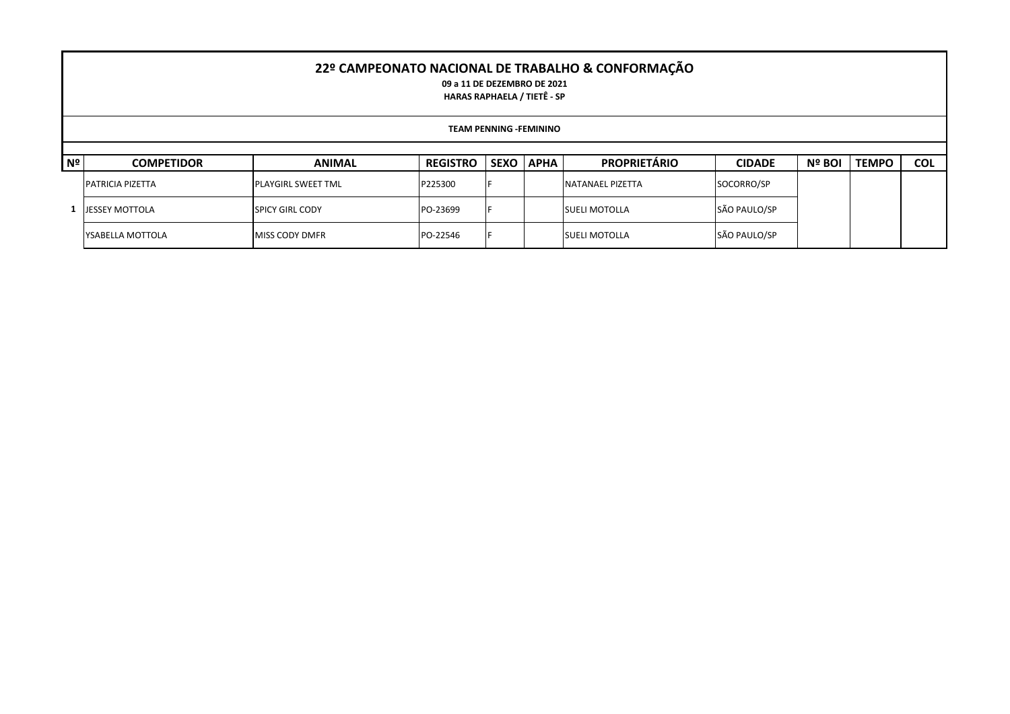## **22º CAMPEONATO NACIONAL DE TRABALHO & CONFORMAÇÃO**

**09 a 11 DE DEZEMBRO DE 2021 HARAS RAPHAELA / TIETÊ - SP**

|    | <b>TEAM PENNING -FEMININO</b> |                           |                 |                  |  |                      |               |        |              |            |  |  |  |
|----|-------------------------------|---------------------------|-----------------|------------------|--|----------------------|---------------|--------|--------------|------------|--|--|--|
|    |                               |                           |                 |                  |  |                      |               |        |              |            |  |  |  |
| Nº | <b>COMPETIDOR</b>             | <b>ANIMAL</b>             | <b>REGISTRO</b> | <b>SEXO APHA</b> |  | <b>PROPRIETÁRIO</b>  | <b>CIDADE</b> | Nº BOI | <b>TEMPO</b> | <b>COL</b> |  |  |  |
|    | <b>PATRICIA PIZETTA</b>       | <b>PLAYGIRL SWEET TML</b> | P225300         |                  |  | NATANAEL PIZETTA     | SOCORRO/SP    |        |              |            |  |  |  |
|    | <b>JESSEY MOTTOLA</b>         | <b>SPICY GIRL CODY</b>    | PO-23699        |                  |  | <b>SUELI MOTOLLA</b> | SÃO PAULO/SP  |        |              |            |  |  |  |
|    | YSABELLA MOTTOLA              | <b>MISS CODY DMFR</b>     | PO-22546        |                  |  | <b>SUELI MOTOLLA</b> | SÃO PAULO/SP  |        |              |            |  |  |  |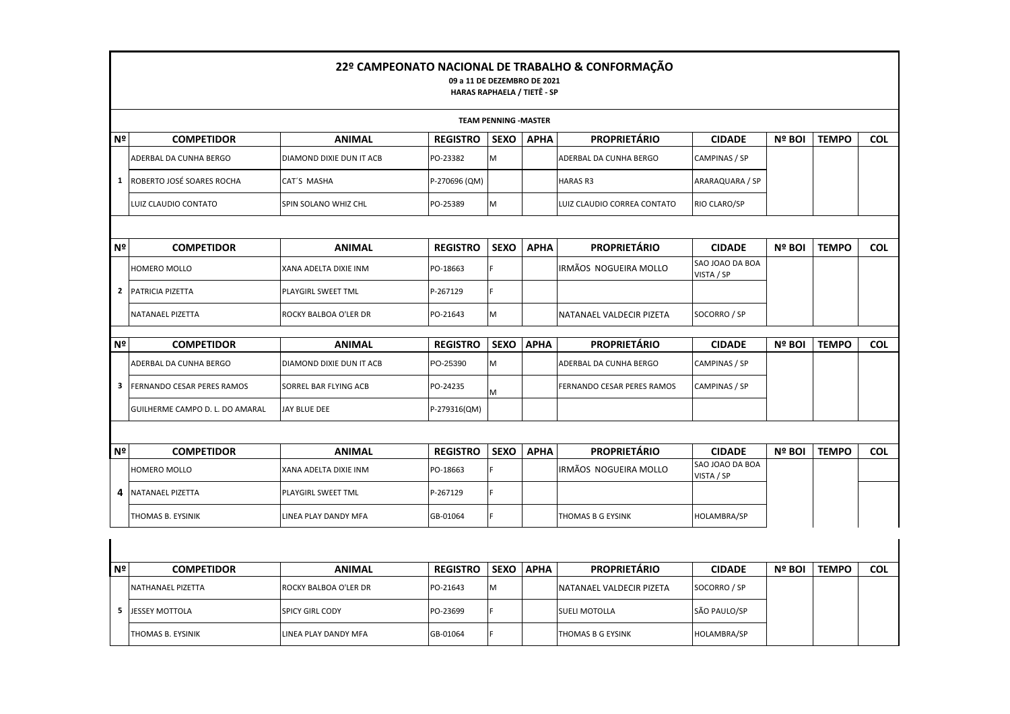|                |                                 |                          | 09 a 11 DE DEZEMBRO DE 2021<br>HARAS RAPHAELA / TIETÊ - SP |                             |             | 22º CAMPEONATO NACIONAL DE TRABALHO & CONFORMAÇÃO |                               |               |              |            |
|----------------|---------------------------------|--------------------------|------------------------------------------------------------|-----------------------------|-------------|---------------------------------------------------|-------------------------------|---------------|--------------|------------|
|                |                                 |                          |                                                            | <b>TEAM PENNING -MASTER</b> |             |                                                   |                               |               |              |            |
| Nº             | <b>COMPETIDOR</b>               | <b>ANIMAL</b>            | <b>REGISTRO</b>                                            | <b>SEXO</b>                 | <b>APHA</b> | <b>PROPRIETÁRIO</b>                               | <b>CIDADE</b>                 | Nº BOI        | <b>TEMPO</b> | <b>COL</b> |
|                | ADERBAL DA CUNHA BERGO          | DIAMOND DIXIE DUN IT ACB | PO-23382                                                   | M                           |             | ADERBAL DA CUNHA BERGO                            | CAMPINAS / SP                 |               |              |            |
| 1              | ROBERTO JOSÉ SOARES ROCHA       | CAT'S MASHA              | P-270696 (QM)                                              |                             |             | <b>HARAS R3</b>                                   | ARARAQUARA / SP               |               |              |            |
|                | LUIZ CLAUDIO CONTATO            | SPIN SOLANO WHIZ CHL     | PO-25389                                                   | M                           |             | LUIZ CLAUDIO CORREA CONTATO                       | RIO CLARO/SP                  |               |              |            |
|                |                                 |                          |                                                            |                             |             |                                                   |                               |               |              |            |
| N <sup>2</sup> | <b>COMPETIDOR</b>               | <b>ANIMAL</b>            | <b>REGISTRO</b>                                            | <b>SEXO</b>                 | <b>APHA</b> | <b>PROPRIETÁRIO</b>                               | <b>CIDADE</b>                 | Nº BOI        | <b>TEMPO</b> | <b>COL</b> |
|                | HOMERO MOLLO                    | XANA ADELTA DIXIE INM    | PO-18663                                                   | lF.                         |             | IRMÃOS NOGUEIRA MOLLO                             | SAO JOAO DA BOA<br>VISTA / SP |               |              |            |
| 2              | PATRICIA PIZETTA                | PLAYGIRL SWEET TML       | P-267129                                                   | F                           |             |                                                   |                               |               |              |            |
|                | <b>NATANAEL PIZETTA</b>         | ROCKY BALBOA O'LER DR    | PO-21643                                                   | M                           |             | NATANAEL VALDECIR PIZETA                          | SOCORRO / SP                  |               |              |            |
| Nº             | <b>COMPETIDOR</b>               | <b>ANIMAL</b>            | <b>REGISTRO</b>                                            | <b>SEXO</b>                 | <b>APHA</b> | <b>PROPRIETÁRIO</b>                               | <b>CIDADE</b>                 | <b>Nº BOI</b> | <b>TEMPO</b> | <b>COL</b> |
|                | ADERBAL DA CUNHA BERGO          | DIAMOND DIXIE DUN IT ACB | PO-25390                                                   | M                           |             | ADERBAL DA CUNHA BERGO                            | CAMPINAS / SP                 |               |              |            |
| 3              | FERNANDO CESAR PERES RAMOS      | SORREL BAR FLYING ACB    | PO-24235                                                   | M                           |             | FERNANDO CESAR PERES RAMOS                        | CAMPINAS / SP                 |               |              |            |
|                | GUILHERME CAMPO D. L. DO AMARAL | JAY BLUE DEE             | P-279316(QM)                                               |                             |             |                                                   |                               |               |              |            |
|                |                                 |                          |                                                            |                             |             |                                                   |                               |               |              |            |
| N <sup>2</sup> | <b>COMPETIDOR</b>               | <b>ANIMAL</b>            | <b>REGISTRO</b>                                            | <b>SEXO</b>                 | <b>APHA</b> | <b>PROPRIETÁRIO</b>                               | <b>CIDADE</b>                 | Nº BOI        | <b>TEMPO</b> | <b>COL</b> |
|                | HOMERO MOLLO                    | XANA ADELTA DIXIE INM    | PO-18663                                                   |                             |             | IRMÃOS NOGUEIRA MOLLO                             | SAO JOAO DA BOA<br>VISTA / SP |               |              |            |
| 4              | NATANAEL PIZETTA                | PLAYGIRL SWEET TML       | P-267129                                                   | F                           |             |                                                   |                               |               |              |            |
|                | THOMAS B. EYSINIK               | LINEA PLAY DANDY MFA     | GB-01064                                                   | F                           |             | THOMAS B G EYSINK                                 | HOLAMBRA/SP                   |               |              |            |
|                |                                 |                          |                                                            |                             |             |                                                   |                               |               |              |            |
|                |                                 |                          |                                                            |                             |             |                                                   |                               |               |              |            |
| Nº             | <b>COMPETIDOR</b>               | <b>ANIMAL</b>            | <b>REGISTRO</b>                                            | <b>SEXO</b>                 | <b>APHA</b> | <b>PROPRIETÁRIO</b>                               | <b>CIDADE</b>                 | Nº BOI        | <b>TEMPO</b> | <b>COL</b> |
|                | NATHANAEL PIZETTA               | ROCKY BALBOA O'LER DR    | PO-21643                                                   | M                           |             | NATANAEL VALDECIR PIZETA                          | SOCORRO / SP                  |               |              |            |

THOMAS B. EYSINIK LINEA PLAY DANDY MFA GB-01064 F THOMAS B G EYSINK HOLAMBRA/SP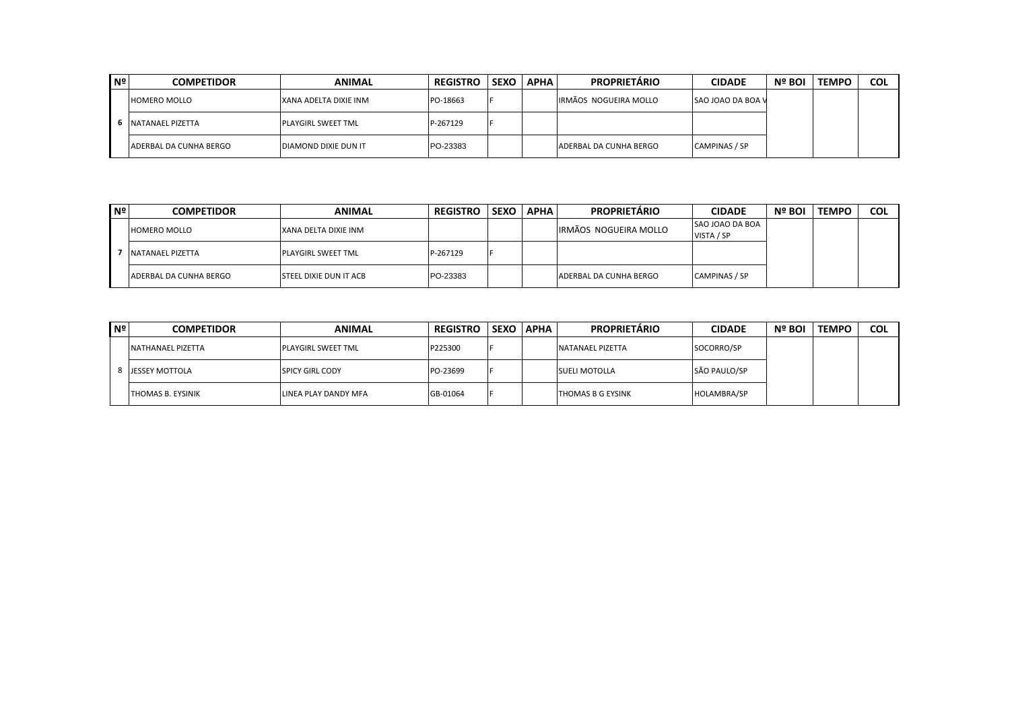| N <sup>o</sup> | <b>COMPETIDOR</b>          | <b>ANIMAL</b>                | <b>REGISTRO</b> | SEXO I | <b>APHA</b> | <b>PROPRIETARIO</b>    | <b>CIDADE</b>            | Nº BOI | <b>TEMPC</b> | <b>COL</b> |
|----------------|----------------------------|------------------------------|-----------------|--------|-------------|------------------------|--------------------------|--------|--------------|------------|
|                | <b>HOMERO MOLLO</b>        | IXANA ADELTA DIXIE INM       | PO-18663        |        |             | IRMÃOS NOGUEIRA MOLLO  | <b>SAO JOAO DA BOA V</b> |        |              |            |
|                | <b>S</b> INATANAEL PIZETTA | <b>IPLAYGIRL SWEET TML</b>   | P-267129        |        |             |                        |                          |        |              |            |
|                | ADERBAL DA CUNHA BERGO     | <b>IDIAMOND DIXIE DUN IT</b> | PO-23383        |        |             | ADERBAL DA CUNHA BERGO | CAMPINAS / SP            |        |              |            |

| l Nº | <b>COMPETIDOR</b>      | <b>ANIMAL</b>                  | <b>REGISTRO</b> | <b>SEXO</b> | <b>APHA</b> | <b>PROPRIETÁRIO</b>           | <b>CIDADE</b>   | Nº BOI | <b>TEMPO</b> | <b>COL</b> |
|------|------------------------|--------------------------------|-----------------|-------------|-------------|-------------------------------|-----------------|--------|--------------|------------|
|      | <b>HOMERO MOLLO</b>    | XANA DELTA DIXIE INM           |                 |             |             | IRMÃOS NOGUEIRA MOLLO         | SAO JOAO DA BOA |        |              |            |
|      |                        |                                |                 |             |             |                               | VISTA / SP      |        |              |            |
|      | NATANAEL PIZETTA       | <b>PLAYGIRL SWEET TML</b>      | P-267129        |             |             |                               |                 |        |              |            |
|      | ADERBAL DA CUNHA BERGO | <b>ISTEEL DIXIE DUN IT ACB</b> | PO-23383        |             |             | <b>ADERBAL DA CUNHA BERGO</b> | CAMPINAS / SP   |        |              |            |

| l Nº∣ | <b>COMPETIDOR</b>        | <b>ANIMAL</b>          | <b>REGISTRO</b> |     | <b>SEXO APHA</b> | <b>PROPRIETÁRIO</b>  | <b>CIDADE</b> | Nº BOI | <b>TEMPC</b> | <b>COL</b> |
|-------|--------------------------|------------------------|-----------------|-----|------------------|----------------------|---------------|--------|--------------|------------|
|       | <b>NATHANAEL PIZETTA</b> | PLAYGIRL SWEET TML     | P225300         |     |                  | NATANAEL PIZETTA     | SOCORRO/SP    |        |              |            |
|       | <b>JESSEY MOTTOLA</b>    | <b>SPICY GIRL CODY</b> | PO-23699        |     |                  | <b>SUELI MOTOLLA</b> | SÃO PAULO/SP  |        |              |            |
|       | <b>THOMAS B. EYSINIK</b> | LINEA PLAY DANDY MFA   | GB-01064        | l E |                  | THOMAS B G EYSINK    | HOLAMBRA/SP   |        |              |            |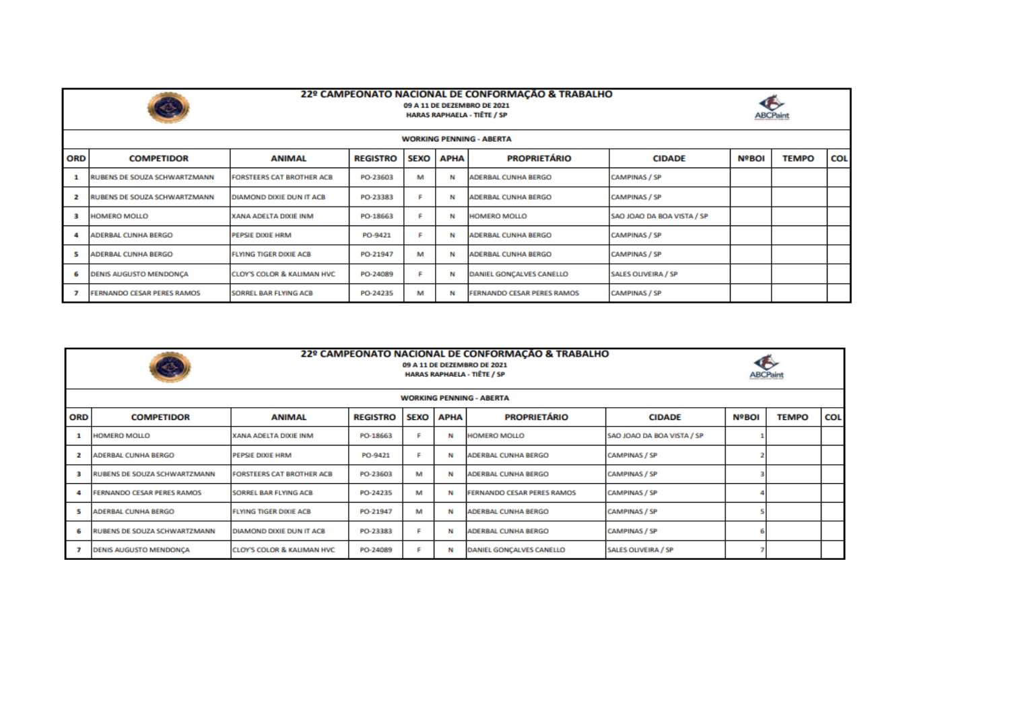

## 22º CAMPEONATO NACIONAL DE CONFORMAÇÃO & TRABALHO 09 A 11 DE DEZEMBRO DE 2021 **HARAS RAPHAELA - TIÊTE / SP**



|     | <b>WORKING PENNING - ABERTA</b>    |                                       |                 |             |             |                                   |                            |              |              |            |  |  |  |  |
|-----|------------------------------------|---------------------------------------|-----------------|-------------|-------------|-----------------------------------|----------------------------|--------------|--------------|------------|--|--|--|--|
| ORD | <b>ANIMAL</b><br><b>COMPETIDOR</b> |                                       | <b>REGISTRO</b> | <b>SEXO</b> | <b>APHA</b> | <b>PROPRIETÁRIO</b>               | <b>CIDADE</b>              | <b>NºBOI</b> | <b>TEMPO</b> | <b>COL</b> |  |  |  |  |
|     | RUBENS DE SOUZA SCHWARTZMANN       | <b>FORSTEERS CAT BROTHER ACB</b>      | PO-23603        | м           | N           | <b>ADERBAL CUNHA BERGO</b>        | <b>CAMPINAS / SP</b>       |              |              |            |  |  |  |  |
|     | RUBENS DE SOUZA SCHWARTZMANN       | DIAMOND DIXIE DUN IT ACB              | PO-23383        |             | N           | <b>ADERBAL CUNHA BERGO</b>        | <b>CAMPINAS / SP</b>       |              |              |            |  |  |  |  |
|     | <b>HOMERO MOLLO</b>                | XANA ADELTA DIXIE INM                 | PO-18663        |             | N           | <b>HOMERO MOLLO</b>               | SAO JOAO DA BOA VISTA / SP |              |              |            |  |  |  |  |
|     | <b>ADERBAL CUNHA BERGO</b>         | <b>PEPSIE DIXIE HRM</b>               | PO-9421         |             | N           | <b>ADERBAL CUNHA BERGO</b>        | <b>CAMPINAS / SP</b>       |              |              |            |  |  |  |  |
|     | <b>ADERBAL CUNHA BERGO</b>         | <b>FLYING TIGER DIXIE ACB</b>         | PO-21947        | м           | N           | <b>ADERBAL CUNHA BERGO</b>        | <b>CAMPINAS / SP</b>       |              |              |            |  |  |  |  |
| 6   | <b>DENIS AUGUSTO MENDONCA</b>      | <b>CLOY'S COLOR &amp; KALIMAN HVC</b> | PO-24089        |             | N           | <b>DANIEL GONCALVES CANELLO</b>   | <b>SALES OLIVEIRA / SP</b> |              |              |            |  |  |  |  |
|     | <b>FERNANDO CESAR PERES RAMOS</b>  | SORREL BAR FLYING ACB                 | PO-24235        | м           | N           | <b>FERNANDO CESAR PERES RAMOS</b> | <b>CAMPINAS / SP</b>       |              |              |            |  |  |  |  |

|            | 22º CAMPEONATO NACIONAL DE CONFORMAÇÃO & TRABALHO<br>S<br>09 A 11 DE DEZEMBRO DE 2021<br><b>HARAS RAPHAELA - TIÊTE / SP</b> |                                       |                 |             |             |                                   |                            |              |              |            |  |  |  |  |
|------------|-----------------------------------------------------------------------------------------------------------------------------|---------------------------------------|-----------------|-------------|-------------|-----------------------------------|----------------------------|--------------|--------------|------------|--|--|--|--|
|            | <b>WORKING PENNING - ABERTA</b>                                                                                             |                                       |                 |             |             |                                   |                            |              |              |            |  |  |  |  |
| <b>ORD</b> | <b>COMPETIDOR</b>                                                                                                           | <b>ANIMAL</b>                         | <b>REGISTRO</b> | <b>SEXO</b> | <b>APHA</b> | <b>PROPRIETÁRIO</b>               | <b>CIDADE</b>              | <b>NºBOI</b> | <b>TEMPO</b> | <b>COL</b> |  |  |  |  |
|            | <b>HOMERO MOLLO</b>                                                                                                         | XANA ADELTA DIXIE INM                 | PO-18663        |             | N           | <b>HOMERO MOLLO</b>               | SAO JOAO DA BOA VISTA / SP |              |              |            |  |  |  |  |
|            | <b>ADERBAL CUNHA BERGO</b>                                                                                                  | PEPSIE DIXIE HRM                      | PO-9421         |             | N           | <b>ADERBAL CUNHA BERGO</b>        | <b>CAMPINAS / SP</b>       |              |              |            |  |  |  |  |
|            | RUBENS DE SOUZA SCHWARTZMANN                                                                                                | <b>FORSTEERS CAT BROTHER ACB</b>      | PO-23603        | м           | N           | <b>ADERBAL CUNHA BERGO</b>        | <b>CAMPINAS / SP</b>       |              |              |            |  |  |  |  |
|            | <b>FERNANDO CESAR PERES RAMOS</b>                                                                                           | <b>SORREL BAR FLYING ACB</b>          | PO-24235        | м           | N           | <b>FERNANDO CESAR PERES RAMOS</b> | <b>CAMPINAS / SP</b>       |              |              |            |  |  |  |  |
| 5          | <b>ADERBAL CUNHA BERGO</b>                                                                                                  | <b>FLYING TIGER DIXIE ACB</b>         | PO-21947        | м           | N           | <b>ADERBAL CUNHA BERGO</b>        | <b>CAMPINAS / SP</b>       |              |              |            |  |  |  |  |
|            | RUBENS DE SOUZA SCHWARTZMANN                                                                                                | <b>DIAMOND DIXIE DUN IT ACB</b>       | PO-23383        |             | N           | <b>ADERBAL CUNHA BERGO</b>        | <b>CAMPINAS / SP</b>       |              |              |            |  |  |  |  |
|            | <b>DENIS AUGUSTO MENDONCA</b>                                                                                               | <b>CLOY'S COLOR &amp; KALIMAN HVC</b> | PO-24089        |             | N           | <b>DANIEL GONCALVES CANELLO</b>   | <b>SALES OLIVEIRA / SP</b> |              |              |            |  |  |  |  |